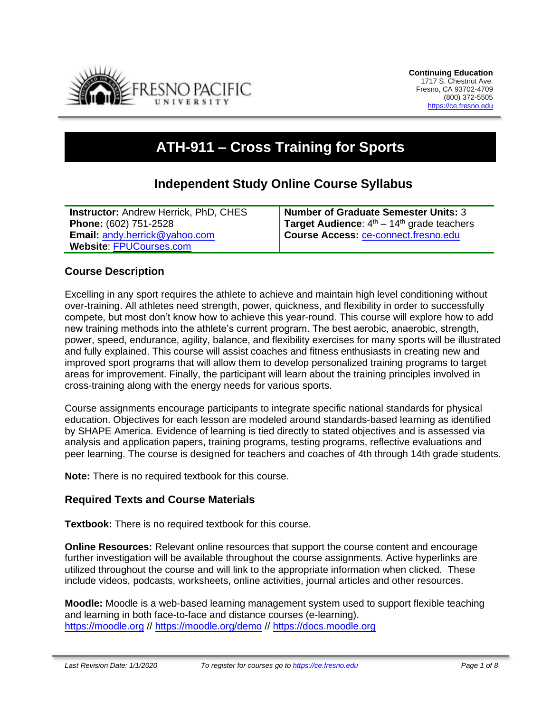

# **ATH-911 – Cross Training for Sports**

# **Independent Study Online Course Syllabus**

| <b>Instructor: Andrew Herrick, PhD, CHES</b> | <b>Number of Graduate Semester Units: 3</b>  |
|----------------------------------------------|----------------------------------------------|
| Phone: (602) 751-2528                        | Target Audience: $4th - 14th$ grade teachers |
| <b>Email: andy.herrick@yahoo.com</b>         | Course Access: ce-connect.fresno.edu         |
| <b>Website: FPUCourses.com</b>               |                                              |

#### **Course Description**

Excelling in any sport requires the athlete to achieve and maintain high level conditioning without over-training. All athletes need strength, power, quickness, and flexibility in order to successfully compete, but most don't know how to achieve this year-round. This course will explore how to add new training methods into the athlete's current program. The best aerobic, anaerobic, strength, power, speed, endurance, agility, balance, and flexibility exercises for many sports will be illustrated and fully explained. This course will assist coaches and fitness enthusiasts in creating new and improved sport programs that will allow them to develop personalized training programs to target areas for improvement. Finally, the participant will learn about the training principles involved in cross-training along with the energy needs for various sports.

Course assignments encourage participants to integrate specific national standards for physical education. Objectives for each lesson are modeled around standards-based learning as identified by SHAPE America. Evidence of learning is tied directly to stated objectives and is assessed via analysis and application papers, training programs, testing programs, reflective evaluations and peer learning. The course is designed for teachers and coaches of 4th through 14th grade students.

**Note:** There is no required textbook for this course.

#### **Required Texts and Course Materials**

**Textbook:** There is no required textbook for this course.

**Online Resources:** Relevant online resources that support the course content and encourage further investigation will be available throughout the course assignments. Active hyperlinks are utilized throughout the course and will link to the appropriate information when clicked. These include videos, podcasts, worksheets, online activities, journal articles and other resources.

**Moodle:** Moodle is a web-based learning management system used to support flexible teaching and learning in both face-to-face and distance courses (e-learning). [https://moodle.org](https://moodle.org/) //<https://moodle.org/demo> // [https://docs.moodle.org](https://docs.moodle.org/)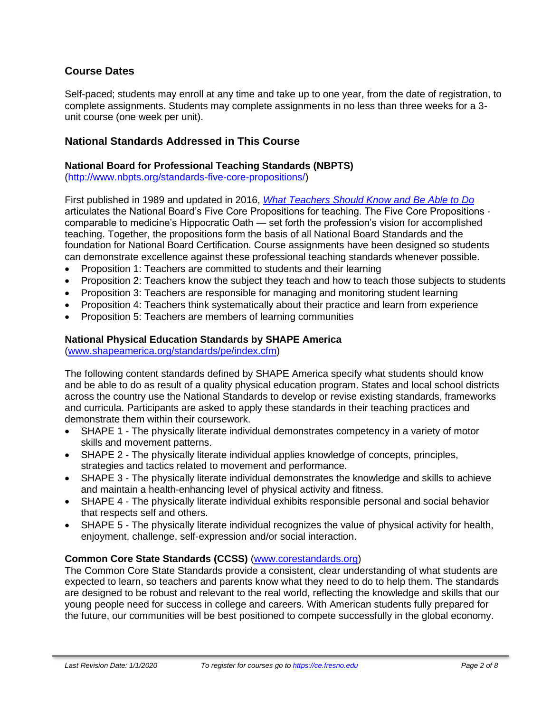# **Course Dates**

Self-paced; students may enroll at any time and take up to one year, from the date of registration, to complete assignments. Students may complete assignments in no less than three weeks for a 3 unit course (one week per unit).

### **National Standards Addressed in This Course**

#### **National Board for Professional Teaching Standards (NBPTS)**

[\(http://www.nbpts.org/standards-five-core-propositions/\)](http://www.nbpts.org/standards-five-core-propositions/)

First published in 1989 and updated in 2016, *[What Teachers Should Know and Be Able to Do](http://www.accomplishedteacher.org/)* articulates the National Board's Five Core Propositions for teaching. The Five Core Propositions comparable to medicine's Hippocratic Oath — set forth the profession's vision for accomplished teaching. Together, the propositions form the basis of all National Board Standards and the foundation for National Board Certification. Course assignments have been designed so students can demonstrate excellence against these professional teaching standards whenever possible.

- Proposition 1: Teachers are committed to students and their learning
- Proposition 2: Teachers know the subject they teach and how to teach those subjects to students
- Proposition 3: Teachers are responsible for managing and monitoring student learning
- Proposition 4: Teachers think systematically about their practice and learn from experience
- Proposition 5: Teachers are members of learning communities

#### **National Physical Education Standards by SHAPE America**

[\(www.shapeamerica.org/standards/pe/index.cfm\)](http://www.shapeamerica.org/standards/pe/index.cfm)

The following content standards defined by SHAPE America specify what students should know and be able to do as result of a quality physical education program. States and local school districts across the country use the National Standards to develop or revise existing standards, frameworks and curricula. Participants are asked to apply these standards in their teaching practices and demonstrate them within their coursework.

- SHAPE 1 The physically literate individual demonstrates competency in a variety of motor skills and movement patterns.
- SHAPE 2 The physically literate individual applies knowledge of concepts, principles, strategies and tactics related to movement and performance.
- SHAPE 3 The physically literate individual demonstrates the knowledge and skills to achieve and maintain a health-enhancing level of physical activity and fitness.
- SHAPE 4 The physically literate individual exhibits responsible personal and social behavior that respects self and others.
- SHAPE 5 The physically literate individual recognizes the value of physical activity for health, enjoyment, challenge, self-expression and/or social interaction.

#### **Common Core State Standards (CCSS)** [\(www.corestandards.org\)](http://www.corestandards.org/)

The Common Core State Standards provide a consistent, clear understanding of what students are expected to learn, so teachers and parents know what they need to do to help them. The standards are designed to be robust and relevant to the real world, reflecting the knowledge and skills that our young people need for success in college and careers. With American students fully prepared for the future, our communities will be best positioned to compete successfully in the global economy.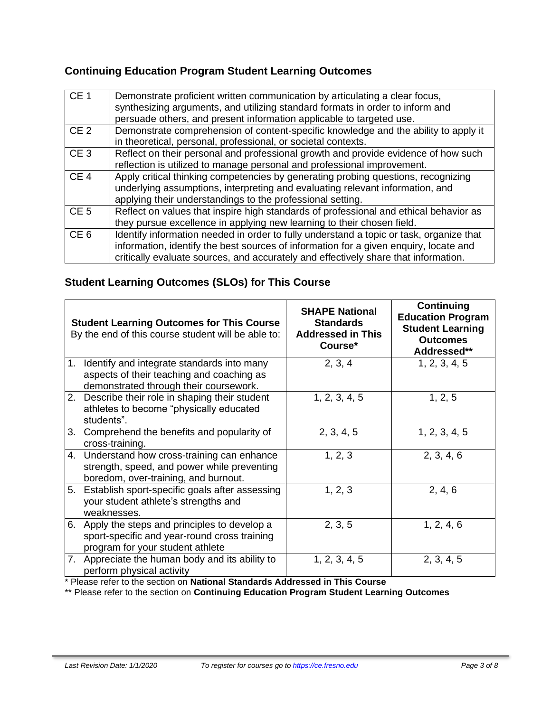# **Continuing Education Program Student Learning Outcomes**

| CE <sub>1</sub> | Demonstrate proficient written communication by articulating a clear focus,<br>synthesizing arguments, and utilizing standard formats in order to inform and<br>persuade others, and present information applicable to targeted use.                                    |
|-----------------|-------------------------------------------------------------------------------------------------------------------------------------------------------------------------------------------------------------------------------------------------------------------------|
| CE <sub>2</sub> | Demonstrate comprehension of content-specific knowledge and the ability to apply it<br>in theoretical, personal, professional, or societal contexts.                                                                                                                    |
| CE <sub>3</sub> | Reflect on their personal and professional growth and provide evidence of how such<br>reflection is utilized to manage personal and professional improvement.                                                                                                           |
| CE <sub>4</sub> | Apply critical thinking competencies by generating probing questions, recognizing<br>underlying assumptions, interpreting and evaluating relevant information, and<br>applying their understandings to the professional setting.                                        |
| CE <sub>5</sub> | Reflect on values that inspire high standards of professional and ethical behavior as<br>they pursue excellence in applying new learning to their chosen field.                                                                                                         |
| CE <sub>6</sub> | Identify information needed in order to fully understand a topic or task, organize that<br>information, identify the best sources of information for a given enquiry, locate and<br>critically evaluate sources, and accurately and effectively share that information. |

# **Student Learning Outcomes (SLOs) for This Course**

|    | <b>Student Learning Outcomes for This Course</b><br>By the end of this course student will be able to:                              | <b>SHAPE National</b><br><b>Standards</b><br><b>Addressed in This</b><br>Course* | Continuing<br><b>Education Program</b><br><b>Student Learning</b><br><b>Outcomes</b><br>Addressed** |
|----|-------------------------------------------------------------------------------------------------------------------------------------|----------------------------------------------------------------------------------|-----------------------------------------------------------------------------------------------------|
| 1. | Identify and integrate standards into many<br>aspects of their teaching and coaching as<br>demonstrated through their coursework.   | 2, 3, 4                                                                          | 1, 2, 3, 4, 5                                                                                       |
|    | 2. Describe their role in shaping their student<br>athletes to become "physically educated<br>students".                            | 1, 2, 3, 4, 5                                                                    | 1, 2, 5                                                                                             |
| 3. | Comprehend the benefits and popularity of<br>cross-training.                                                                        | 2, 3, 4, 5                                                                       | 1, 2, 3, 4, 5                                                                                       |
|    | 4. Understand how cross-training can enhance<br>strength, speed, and power while preventing<br>boredom, over-training, and burnout. | 1, 2, 3                                                                          | 2, 3, 4, 6                                                                                          |
|    | 5. Establish sport-specific goals after assessing<br>your student athlete's strengths and<br>weaknesses.                            | 1, 2, 3                                                                          | 2, 4, 6                                                                                             |
|    | 6. Apply the steps and principles to develop a<br>sport-specific and year-round cross training<br>program for your student athlete  | 2, 3, 5                                                                          | 1, 2, 4, 6                                                                                          |
|    | 7. Appreciate the human body and its ability to<br>perform physical activity                                                        | 1, 2, 3, 4, 5                                                                    | 2, 3, 4, 5                                                                                          |

\* Please refer to the section on **National Standards Addressed in This Course**

\*\* Please refer to the section on **Continuing Education Program Student Learning Outcomes**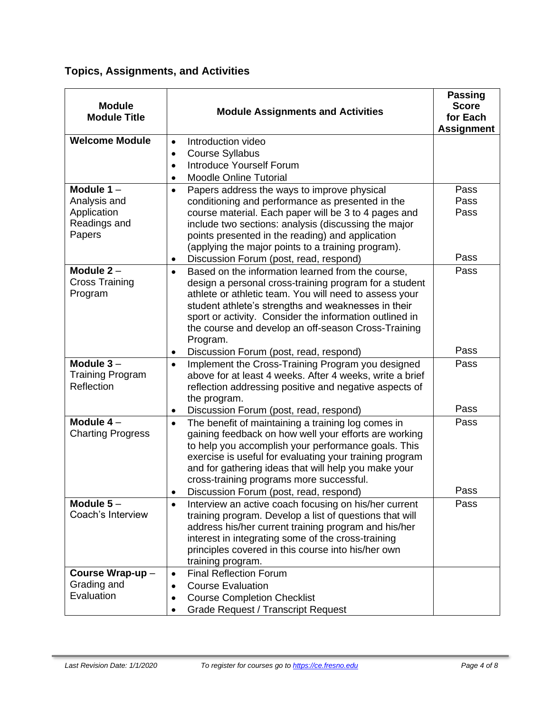# **Topics, Assignments, and Activities**

| <b>Module</b><br><b>Module Title</b>                                  | <b>Module Assignments and Activities</b>                                                                                                                                                                                                                                                                                                                                                                               | <b>Passing</b><br><b>Score</b><br>for Each<br><b>Assignment</b> |
|-----------------------------------------------------------------------|------------------------------------------------------------------------------------------------------------------------------------------------------------------------------------------------------------------------------------------------------------------------------------------------------------------------------------------------------------------------------------------------------------------------|-----------------------------------------------------------------|
| <b>Welcome Module</b>                                                 | Introduction video<br>$\bullet$<br><b>Course Syllabus</b><br>$\bullet$<br><b>Introduce Yourself Forum</b><br>$\bullet$<br><b>Moodle Online Tutorial</b>                                                                                                                                                                                                                                                                |                                                                 |
| Module $1 -$<br>Analysis and<br>Application<br>Readings and<br>Papers | Papers address the ways to improve physical<br>$\bullet$<br>conditioning and performance as presented in the<br>course material. Each paper will be 3 to 4 pages and<br>include two sections: analysis (discussing the major<br>points presented in the reading) and application<br>(applying the major points to a training program).                                                                                 | Pass<br>Pass<br>Pass                                            |
| Module $2 -$<br><b>Cross Training</b><br>Program                      | Discussion Forum (post, read, respond)<br>٠<br>Based on the information learned from the course,<br>$\bullet$<br>design a personal cross-training program for a student<br>athlete or athletic team. You will need to assess your<br>student athlete's strengths and weaknesses in their<br>sport or activity. Consider the information outlined in<br>the course and develop an off-season Cross-Training<br>Program. | Pass<br>Pass                                                    |
|                                                                       | Discussion Forum (post, read, respond)<br>$\bullet$                                                                                                                                                                                                                                                                                                                                                                    | Pass                                                            |
| Module $3 -$<br><b>Training Program</b><br>Reflection                 | Implement the Cross-Training Program you designed<br>$\bullet$<br>above for at least 4 weeks. After 4 weeks, write a brief<br>reflection addressing positive and negative aspects of<br>the program.                                                                                                                                                                                                                   | Pass                                                            |
|                                                                       | Discussion Forum (post, read, respond)<br>٠                                                                                                                                                                                                                                                                                                                                                                            | Pass                                                            |
| Module $4-$<br><b>Charting Progress</b>                               | The benefit of maintaining a training log comes in<br>$\bullet$<br>gaining feedback on how well your efforts are working<br>to help you accomplish your performance goals. This<br>exercise is useful for evaluating your training program<br>and for gathering ideas that will help you make your<br>cross-training programs more successful.<br>Discussion Forum (post, read, respond)<br>$\bullet$                  | Pass<br>Pass                                                    |
| Module $5-$                                                           | Interview an active coach focusing on his/her current<br>$\bullet$                                                                                                                                                                                                                                                                                                                                                     | Pass                                                            |
| Coach's Interview                                                     | training program. Develop a list of questions that will<br>address his/her current training program and his/her<br>interest in integrating some of the cross-training<br>principles covered in this course into his/her own<br>training program.                                                                                                                                                                       |                                                                 |
| Course Wrap-up-                                                       | <b>Final Reflection Forum</b><br>$\bullet$                                                                                                                                                                                                                                                                                                                                                                             |                                                                 |
| Grading and<br>Evaluation                                             | <b>Course Evaluation</b><br>$\bullet$<br><b>Course Completion Checklist</b><br>$\bullet$<br><b>Grade Request / Transcript Request</b>                                                                                                                                                                                                                                                                                  |                                                                 |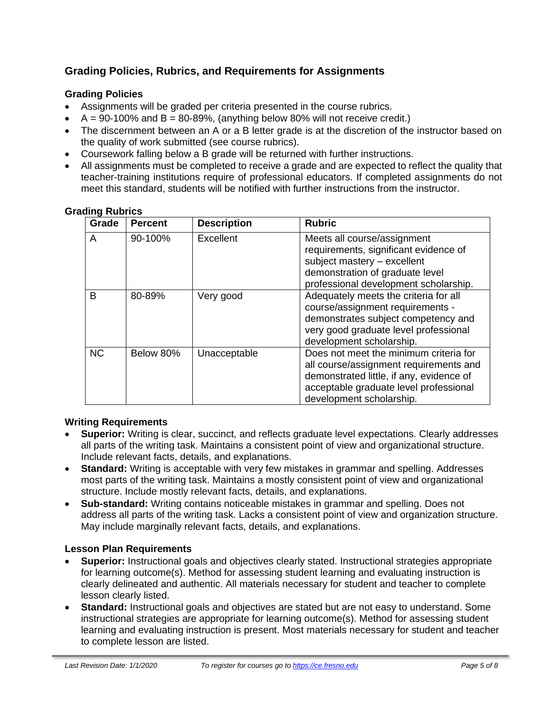# **Grading Policies, Rubrics, and Requirements for Assignments**

# **Grading Policies**

- Assignments will be graded per criteria presented in the course rubrics.
- $A = 90-100\%$  and  $B = 80-89\%$ , (anything below 80% will not receive credit.)
- The discernment between an A or a B letter grade is at the discretion of the instructor based on the quality of work submitted (see course rubrics).
- Coursework falling below a B grade will be returned with further instructions.
- All assignments must be completed to receive a grade and are expected to reflect the quality that teacher-training institutions require of professional educators. If completed assignments do not meet this standard, students will be notified with further instructions from the instructor.

| <b>Grading Rubrics</b> |  |
|------------------------|--|
|                        |  |

| Grade     | <b>Percent</b> | <b>Description</b> | <b>Rubric</b>                                                                                                                                                                                      |
|-----------|----------------|--------------------|----------------------------------------------------------------------------------------------------------------------------------------------------------------------------------------------------|
| A         | 90-100%        | Excellent          | Meets all course/assignment<br>requirements, significant evidence of<br>subject mastery - excellent<br>demonstration of graduate level<br>professional development scholarship.                    |
| B         | 80-89%         | Very good          | Adequately meets the criteria for all<br>course/assignment requirements -<br>demonstrates subject competency and<br>very good graduate level professional<br>development scholarship.              |
| <b>NC</b> | Below 80%      | Unacceptable       | Does not meet the minimum criteria for<br>all course/assignment requirements and<br>demonstrated little, if any, evidence of<br>acceptable graduate level professional<br>development scholarship. |

#### **Writing Requirements**

- **Superior:** Writing is clear, succinct, and reflects graduate level expectations. Clearly addresses all parts of the writing task. Maintains a consistent point of view and organizational structure. Include relevant facts, details, and explanations.
- **Standard:** Writing is acceptable with very few mistakes in grammar and spelling. Addresses most parts of the writing task. Maintains a mostly consistent point of view and organizational structure. Include mostly relevant facts, details, and explanations.
- **Sub-standard:** Writing contains noticeable mistakes in grammar and spelling. Does not address all parts of the writing task. Lacks a consistent point of view and organization structure. May include marginally relevant facts, details, and explanations.

#### **Lesson Plan Requirements**

- **Superior:** Instructional goals and objectives clearly stated. Instructional strategies appropriate for learning outcome(s). Method for assessing student learning and evaluating instruction is clearly delineated and authentic. All materials necessary for student and teacher to complete lesson clearly listed.
- **Standard:** Instructional goals and objectives are stated but are not easy to understand. Some instructional strategies are appropriate for learning outcome(s). Method for assessing student learning and evaluating instruction is present. Most materials necessary for student and teacher to complete lesson are listed.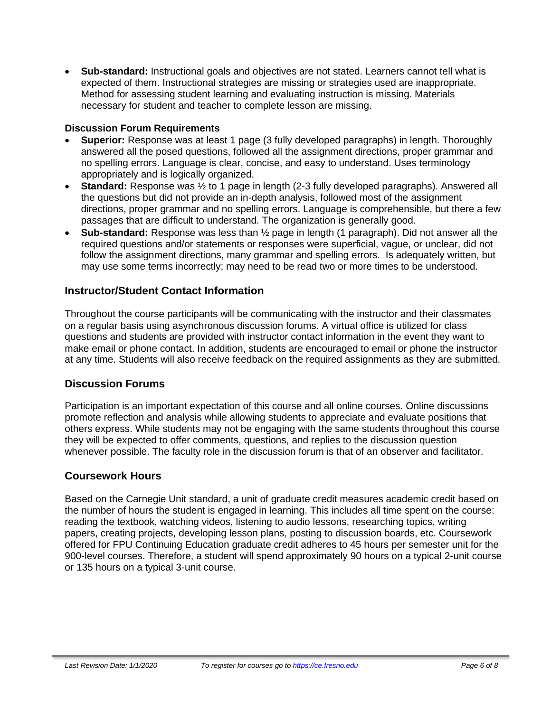• **Sub-standard:** Instructional goals and objectives are not stated. Learners cannot tell what is expected of them. Instructional strategies are missing or strategies used are inappropriate. Method for assessing student learning and evaluating instruction is missing. Materials necessary for student and teacher to complete lesson are missing.

### **Discussion Forum Requirements**

- **Superior:** Response was at least 1 page (3 fully developed paragraphs) in length. Thoroughly answered all the posed questions, followed all the assignment directions, proper grammar and no spelling errors. Language is clear, concise, and easy to understand. Uses terminology appropriately and is logically organized.
- **Standard:** Response was ½ to 1 page in length (2-3 fully developed paragraphs). Answered all the questions but did not provide an in-depth analysis, followed most of the assignment directions, proper grammar and no spelling errors. Language is comprehensible, but there a few passages that are difficult to understand. The organization is generally good.
- **Sub-standard:** Response was less than ½ page in length (1 paragraph). Did not answer all the required questions and/or statements or responses were superficial, vague, or unclear, did not follow the assignment directions, many grammar and spelling errors. Is adequately written, but may use some terms incorrectly; may need to be read two or more times to be understood.

# **Instructor/Student Contact Information**

Throughout the course participants will be communicating with the instructor and their classmates on a regular basis using asynchronous discussion forums. A virtual office is utilized for class questions and students are provided with instructor contact information in the event they want to make email or phone contact. In addition, students are encouraged to email or phone the instructor at any time. Students will also receive feedback on the required assignments as they are submitted.

# **Discussion Forums**

Participation is an important expectation of this course and all online courses. Online discussions promote reflection and analysis while allowing students to appreciate and evaluate positions that others express. While students may not be engaging with the same students throughout this course they will be expected to offer comments, questions, and replies to the discussion question whenever possible. The faculty role in the discussion forum is that of an observer and facilitator.

#### **Coursework Hours**

Based on the Carnegie Unit standard, a unit of graduate credit measures academic credit based on the number of hours the student is engaged in learning. This includes all time spent on the course: reading the textbook, watching videos, listening to audio lessons, researching topics, writing papers, creating projects, developing lesson plans, posting to discussion boards, etc. Coursework offered for FPU Continuing Education graduate credit adheres to 45 hours per semester unit for the 900-level courses. Therefore, a student will spend approximately 90 hours on a typical 2-unit course or 135 hours on a typical 3-unit course.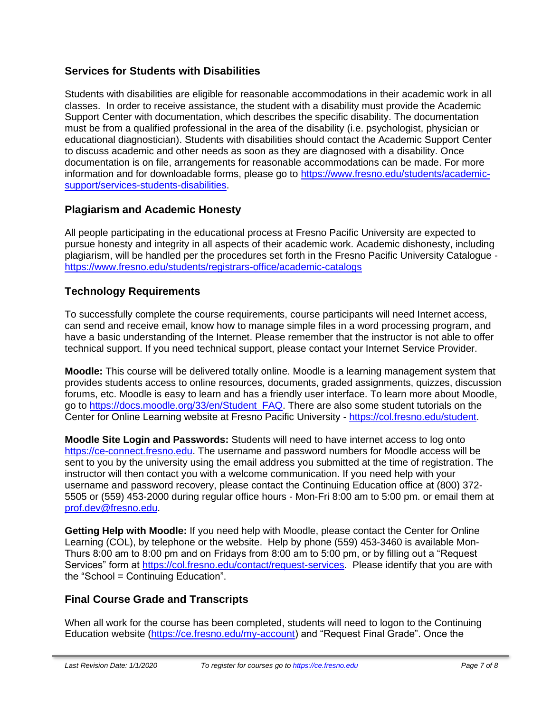# **Services for Students with Disabilities**

Students with disabilities are eligible for reasonable accommodations in their academic work in all classes. In order to receive assistance, the student with a disability must provide the Academic Support Center with documentation, which describes the specific disability. The documentation must be from a qualified professional in the area of the disability (i.e. psychologist, physician or educational diagnostician). Students with disabilities should contact the Academic Support Center to discuss academic and other needs as soon as they are diagnosed with a disability. Once documentation is on file, arrangements for reasonable accommodations can be made. For more information and for downloadable forms, please go to [https://www.fresno.edu/students/academic](https://www.fresno.edu/students/academic-support/services-students-disabilities)[support/services-students-disabilities.](https://www.fresno.edu/students/academic-support/services-students-disabilities)

# **Plagiarism and Academic Honesty**

All people participating in the educational process at Fresno Pacific University are expected to pursue honesty and integrity in all aspects of their academic work. Academic dishonesty, including plagiarism, will be handled per the procedures set forth in the Fresno Pacific University Catalogue <https://www.fresno.edu/students/registrars-office/academic-catalogs>

# **Technology Requirements**

To successfully complete the course requirements, course participants will need Internet access, can send and receive email, know how to manage simple files in a word processing program, and have a basic understanding of the Internet. Please remember that the instructor is not able to offer technical support. If you need technical support, please contact your Internet Service Provider.

**Moodle:** This course will be delivered totally online. Moodle is a learning management system that provides students access to online resources, documents, graded assignments, quizzes, discussion forums, etc. Moodle is easy to learn and has a friendly user interface. To learn more about Moodle, go to [https://docs.moodle.org/33/en/Student\\_FAQ.](https://docs.moodle.org/33/en/Student_FAQ) There are also some student tutorials on the Center for Online Learning website at Fresno Pacific University - [https://col.fresno.edu/student.](https://col.fresno.edu/student)

**Moodle Site Login and Passwords:** Students will need to have internet access to log onto [https://ce-connect.fresno.edu.](https://ce-connect.fresno.edu/) The username and password numbers for Moodle access will be sent to you by the university using the email address you submitted at the time of registration. The instructor will then contact you with a welcome communication. If you need help with your username and password recovery, please contact the Continuing Education office at (800) 372- 5505 or (559) 453-2000 during regular office hours - Mon-Fri 8:00 am to 5:00 pm. or email them at [prof.dev@fresno.edu.](mailto:prof.dev@fresno.edu)

**Getting Help with Moodle:** If you need help with Moodle, please contact the Center for Online Learning (COL), by telephone or the website. Help by phone (559) 453-3460 is available Mon-Thurs 8:00 am to 8:00 pm and on Fridays from 8:00 am to 5:00 pm, or by filling out a "Request Services" form at [https://col.fresno.edu/contact/request-services.](https://col.fresno.edu/contact/request-services) Please identify that you are with the "School = Continuing Education".

# **Final Course Grade and Transcripts**

When all work for the course has been completed, students will need to logon to the Continuing Education website [\(https://ce.fresno.edu/my-account\)](https://ce.fresno.edu/my-account) and "Request Final Grade". Once the